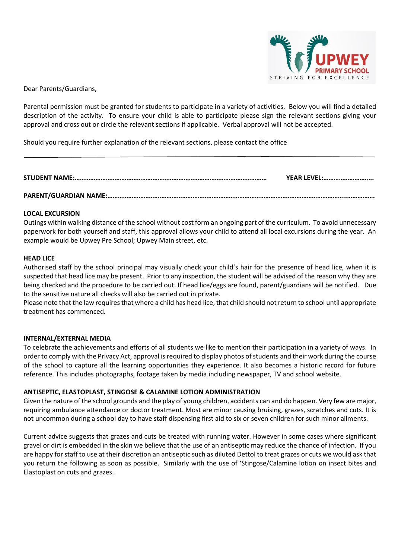

Dear Parents/Guardians,

Parental permission must be granted for students to participate in a variety of activities. Below you will find a detailed description of the activity. To ensure your child is able to participate please sign the relevant sections giving your approval and cross out or circle the relevant sections if applicable. Verbal approval will not be accepted.

Should you require further explanation of the relevant sections, please contact the office

| YEAR LEVEL: |
|-------------|
|             |

## **LOCAL EXCURSION**

Outings within walking distance of the school without cost form an ongoing part of the curriculum. To avoid unnecessary paperwork for both yourself and staff, this approval allows your child to attend all local excursions during the year. An example would be Upwey Pre School; Upwey Main street, etc.

## **HEAD LICE**

Authorised staff by the school principal may visually check your child's hair for the presence of head lice, when it is suspected that head lice may be present. Prior to any inspection, the student will be advised of the reason why they are being checked and the procedure to be carried out. If head lice/eggs are found, parent/guardians will be notified. Due to the sensitive nature all checks will also be carried out in private.

Please note that the law requires that where a child has head lice, that child should not return to school until appropriate treatment has commenced.

## **INTERNAL/EXTERNAL MEDIA**

To celebrate the achievements and efforts of all students we like to mention their participation in a variety of ways. In order to comply with the Privacy Act, approval is required to display photos of students and their work during the course of the school to capture all the learning opportunities they experience. It also becomes a historic record for future reference. This includes photographs, footage taken by media including newspaper, TV and school website.

## **ANTISEPTIC, ELASTOPLAST, STINGOSE & CALAMINE LOTION ADMINISTRATION**

Given the nature of the school grounds and the play of young children, accidents can and do happen. Very few are major, requiring ambulance attendance or doctor treatment. Most are minor causing bruising, grazes, scratches and cuts. It is not uncommon during a school day to have staff dispensing first aid to six or seven children for such minor ailments.

Current advice suggests that grazes and cuts be treated with running water. However in some cases where significant gravel or dirt is embedded in the skin we believe that the use of an antiseptic may reduce the chance of infection. If you are happy for staff to use at their discretion an antiseptic such as diluted Dettol to treat grazes or cuts we would ask that you return the following as soon as possible. Similarly with the use of 'Stingose/Calamine lotion on insect bites and Elastoplast on cuts and grazes.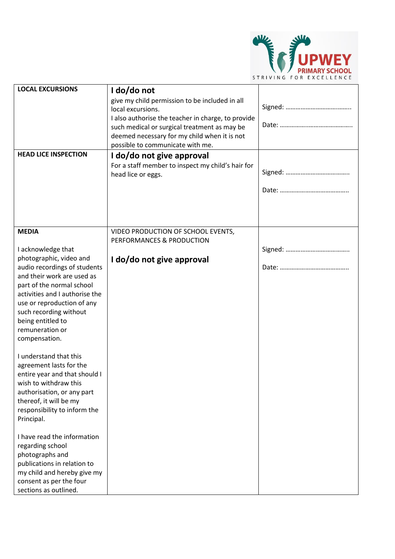

| <b>LOCAL EXCURSIONS</b><br><b>HEAD LICE INSPECTION</b>                                                                                                                                                                                                                | I do/do not<br>give my child permission to be included in all<br>local excursions.<br>I also authorise the teacher in charge, to provide<br>such medical or surgical treatment as may be<br>deemed necessary for my child when it is not<br>possible to communicate with me.<br>I do/do not give approval<br>For a staff member to inspect my child's hair for |  |
|-----------------------------------------------------------------------------------------------------------------------------------------------------------------------------------------------------------------------------------------------------------------------|----------------------------------------------------------------------------------------------------------------------------------------------------------------------------------------------------------------------------------------------------------------------------------------------------------------------------------------------------------------|--|
|                                                                                                                                                                                                                                                                       | head lice or eggs.                                                                                                                                                                                                                                                                                                                                             |  |
| <b>MEDIA</b>                                                                                                                                                                                                                                                          | VIDEO PRODUCTION OF SCHOOL EVENTS,<br>PERFORMANCES & PRODUCTION                                                                                                                                                                                                                                                                                                |  |
| I acknowledge that                                                                                                                                                                                                                                                    |                                                                                                                                                                                                                                                                                                                                                                |  |
| photographic, video and<br>audio recordings of students<br>and their work are used as<br>part of the normal school<br>activities and I authorise the<br>use or reproduction of any<br>such recording without<br>being entitled to<br>remuneration or<br>compensation. | I do/do not give approval                                                                                                                                                                                                                                                                                                                                      |  |
| I understand that this<br>agreement lasts for the<br>entire year and that should I<br>wish to withdraw this<br>authorisation, or any part<br>thereof, it will be my<br>responsibility to inform the<br>Principal.                                                     |                                                                                                                                                                                                                                                                                                                                                                |  |
| I have read the information<br>regarding school<br>photographs and<br>publications in relation to<br>my child and hereby give my<br>consent as per the four<br>sections as outlined.                                                                                  |                                                                                                                                                                                                                                                                                                                                                                |  |